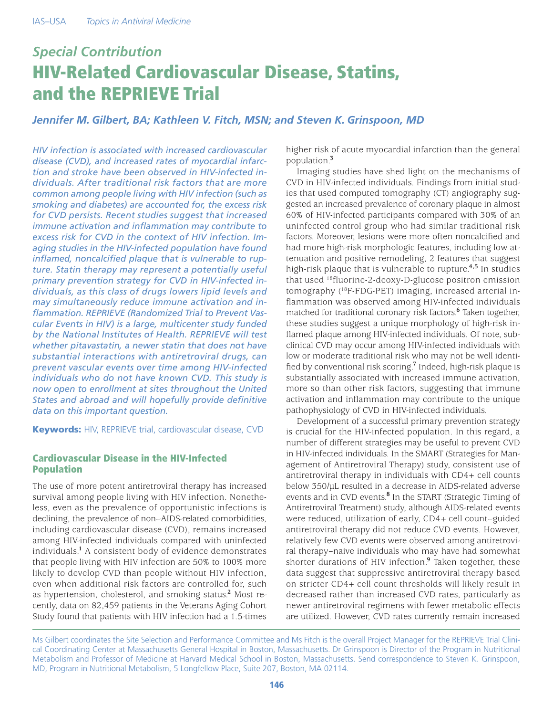# *Special Contribution* HIV-Related Cardiovascular Disease, Statins, and the REPRIEVE Trial

*Jennifer M. Gilbert, BA; Kathleen V. Fitch, MSN; and Steven K. Grinspoon, MD*

*HIV infection is associated with increased cardiovascular disease (CVD), and increased rates of myocardial infarction and stroke have been observed in HIV-infected individuals. After traditional risk factors that are more common among people living with HIV infection (such as smoking and diabetes) are accounted for, the excess risk for CVD persists. Recent studies suggest that increased immune activation and inflammation may contribute to excess risk for CVD in the context of HIV infection. Imaging studies in the HIV-infected population have found inflamed, noncalcified plaque that is vulnerable to rupture. Statin therapy may represent a potentially useful primary prevention strategy for CVD in HIV-infected individuals, as this class of drugs lowers lipid levels and may simultaneously reduce immune activation and inflammation. REPRIEVE (Randomized Trial to Prevent Vascular Events in HIV) is a large, multicenter study funded by the National Institutes of Health. REPRIEVE will test whether pitavastatin, a newer statin that does not have substantial interactions with antiretroviral drugs, can prevent vascular events over time among HIV-infected individuals who do not have known CVD. This study is now open to enrollment at sites throughout the United States and abroad and will hopefully provide definitive data on this important question.*

**Keywords: HIV, REPRIEVE trial, cardiovascular disease, CVD** 

## Cardiovascular Disease in the HIV-Infected Population

The use of more potent antiretroviral therapy has increased survival among people living with HIV infection. Nonetheless, even as the prevalence of opportunistic infections is declining, the prevalence of non–AIDS-related comorbidities, including cardiovascular disease (CVD), remains increased among HIV-infected individuals compared with uninfected individuals.**<sup>1</sup>** A consistent body of evidence demonstrates that people living with HIV infection are 50% to 100% more likely to develop CVD than people without HIV infection, even when additional risk factors are controlled for, such as hypertension, cholesterol, and smoking status.**<sup>2</sup>** Most recently, data on 82,459 patients in the Veterans Aging Cohort Study found that patients with HIV infection had a 1.5-times

higher risk of acute myocardial infarction than the general population.**<sup>3</sup>**

Imaging studies have shed light on the mechanisms of CVD in HIV-infected individuals. Findings from initial studies that used computed tomography (CT) angiography suggested an increased prevalence of coronary plaque in almost 60% of HIV-infected participants compared with 30% of an uninfected control group who had similar traditional risk factors. Moreover, lesions were more often noncalcified and had more high-risk morphologic features, including low attenuation and positive remodeling, 2 features that suggest high-risk plaque that is vulnerable to rupture.**4,5** In studies that used 18fluorine-2-deoxy-D-glucose positron emission tomography (18F-FDG-PET) imaging, increased arterial inflammation was observed among HIV-infected individuals matched for traditional coronary risk factors.**<sup>6</sup>** Taken together, these studies suggest a unique morphology of high-risk inflamed plaque among HIV-infected individuals. Of note, subclinical CVD may occur among HIV-infected individuals with low or moderate traditional risk who may not be well identified by conventional risk scoring.**<sup>7</sup>** Indeed, high-risk plaque is substantially associated with increased immune activation, more so than other risk factors, suggesting that immune activation and inflammation may contribute to the unique pathophysiology of CVD in HIV-infected individuals.

Development of a successful primary prevention strategy is crucial for the HIV-infected population. In this regard, a number of different strategies may be useful to prevent CVD in HIV-infected individuals. In the SMART (Strategies for Management of Antiretroviral Therapy) study, consistent use of antiretroviral therapy in individuals with CD4+ cell counts below 350/µL resulted in a decrease in AIDS-related adverse events and in CVD events.<sup>8</sup> In the START (Strategic Timing of Antiretroviral Treatment) study, although AIDS-related events were reduced, utilization of early, CD4+ cell count–guided antiretroviral therapy did not reduce CVD events. However, relatively few CVD events were observed among antiretroviral therapy–naive individuals who may have had somewhat shorter durations of HIV infection.**<sup>9</sup>** Taken together, these data suggest that suppressive antiretroviral therapy based on stricter CD4+ cell count thresholds will likely result in decreased rather than increased CVD rates, particularly as newer antiretroviral regimens with fewer metabolic effects are utilized. However, CVD rates currently remain increased

Ms Gilbert coordinates the Site Selection and Performance Committee and Ms Fitch is the overall Project Manager for the REPRIEVE Trial Clinical Coordinating Center at Massachusetts General Hospital in Boston, Massachusetts. Dr Grinspoon is Director of the Program in Nutritional Metabolism and Professor of Medicine at Harvard Medical School in Boston, Massachusetts. Send correspondence to Steven K. Grinspoon, MD, Program in Nutritional Metabolism, 5 Longfellow Place, Suite 207, Boston, MA 02114.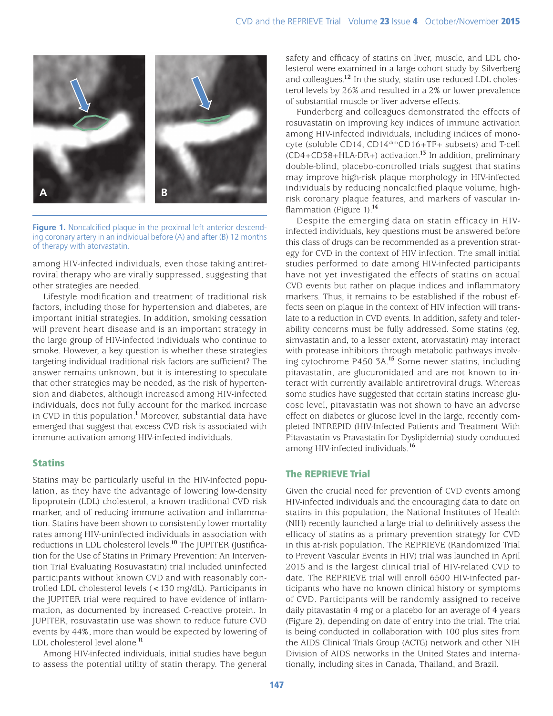

**Figure 1.** Noncalcified plaque in the proximal left anterior descending coronary artery in an individual before (A) and after (B) 12 months of therapy with atorvastatin.

among HIV-infected individuals, even those taking antiretroviral therapy who are virally suppressed, suggesting that other strategies are needed.

Lifestyle modification and treatment of traditional risk factors, including those for hypertension and diabetes, are important initial strategies. In addition, smoking cessation will prevent heart disease and is an important strategy in the large group of HIV-infected individuals who continue to smoke. However, a key question is whether these strategies targeting individual traditional risk factors are sufficient? The answer remains unknown, but it is interesting to speculate that other strategies may be needed, as the risk of hypertension and diabetes, although increased among HIV-infected individuals, does not fully account for the marked increase in CVD in this population.**<sup>1</sup>** Moreover, substantial data have emerged that suggest that excess CVD risk is associated with immune activation among HIV-infected individuals.

## Statins

Statins may be particularly useful in the HIV-infected population, as they have the advantage of lowering low-density lipoprotein (LDL) cholesterol, a known traditional CVD risk marker, and of reducing immune activation and inflammation. Statins have been shown to consistently lower mortality rates among HIV-uninfected individuals in association with reductions in LDL cholesterol levels.**<sup>10</sup>** The JUPITER (Justification for the Use of Statins in Primary Prevention: An Intervention Trial Evaluating Rosuvastatin) trial included uninfected participants without known CVD and with reasonably controlled LDL cholesterol levels (<130 mg/dL). Participants in the JUPITER trial were required to have evidence of inflammation, as documented by increased C-reactive protein. In JUPITER, rosuvastatin use was shown to reduce future CVD events by 44%, more than would be expected by lowering of LDL cholesterol level alone.**<sup>11</sup>**

Among HIV-infected individuals, initial studies have begun to assess the potential utility of statin therapy. The general

safety and efficacy of statins on liver, muscle, and LDL cholesterol were examined in a large cohort study by Silverberg and colleagues.**<sup>12</sup>** In the study, statin use reduced LDL cholesterol levels by 26% and resulted in a 2% or lower prevalence of substantial muscle or liver adverse effects.

Funderberg and colleagues demonstrated the effects of rosuvastatin on improving key indices of immune activation among HIV-infected individuals, including indices of monocyte (soluble CD14, CD14dimCD16+TF+ subsets) and T-cell (CD4+CD38+HLA-DR+) activation. **<sup>13</sup>** In addition, preliminary double-blind, placebo-controlled trials suggest that statins may improve high-risk plaque morphology in HIV-infected individuals by reducing noncalcified plaque volume, highrisk coronary plaque features, and markers of vascular inflammation (Figure 1).**<sup>14</sup>**

Despite the emerging data on statin efficacy in HIVinfected individuals, key questions must be answered before this class of drugs can be recommended as a prevention strategy for CVD in the context of HIV infection. The small initial studies performed to date among HIV-infected participants have not yet investigated the effects of statins on actual CVD events but rather on plaque indices and inflammatory markers. Thus, it remains to be established if the robust effects seen on plaque in the context of HIV infection will translate to a reduction in CVD events. In addition, safety and tolerability concerns must be fully addressed. Some statins (eg, simvastatin and, to a lesser extent, atorvastatin) may interact with protease inhibitors through metabolic pathways involving cytochrome P450 3A.**<sup>15</sup>** Some newer statins, including pitavastatin, are glucuronidated and are not known to interact with currently available antiretroviral drugs. Whereas some studies have suggested that certain statins increase glucose level, pitavastatin was not shown to have an adverse effect on diabetes or glucose level in the large, recently completed INTREPID (HIV-Infected Patients and Treatment With Pitavastatin vs Pravastatin for Dyslipidemia) study conducted among HIV-infected individuals.**<sup>16</sup>**

## The REPRIEVE Trial

Given the crucial need for prevention of CVD events among HIV-infected individuals and the encouraging data to date on statins in this population, the National Institutes of Health (NIH) recently launched a large trial to definitively assess the efficacy of statins as a primary prevention strategy for CVD in this at-risk population. The REPRIEVE (Randomized Trial to Prevent Vascular Events in HIV) trial was launched in April 2015 and is the largest clinical trial of HIV-related CVD to date. The REPRIEVE trial will enroll 6500 HIV-infected participants who have no known clinical history or symptoms of CVD. Participants will be randomly assigned to receive daily pitavastatin 4 mg or a placebo for an average of 4 years (Figure 2), depending on date of entry into the trial. The trial is being conducted in collaboration with 100 plus sites from the AIDS Clinical Trials Group (ACTG) network and other NIH Division of AIDS networks in the United States and internationally, including sites in Canada, Thailand, and Brazil.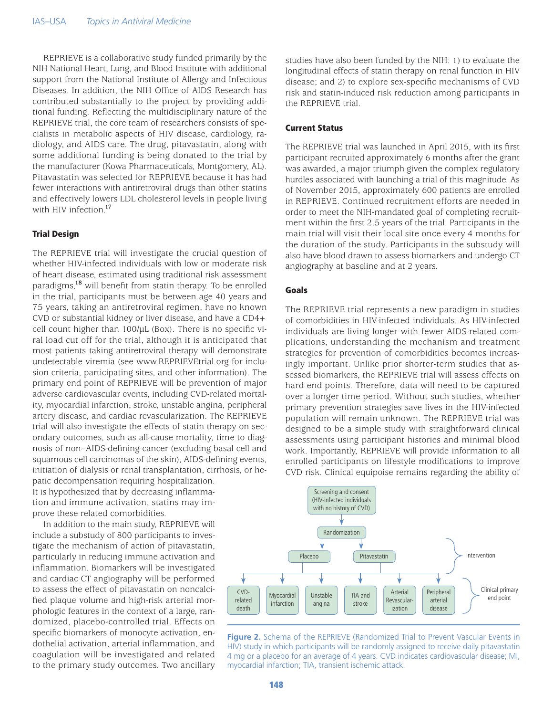REPRIEVE is a collaborative study funded primarily by the NIH National Heart, Lung, and Blood Institute with additional support from the National Institute of Allergy and Infectious Diseases. In addition, the NIH Office of AIDS Research has contributed substantially to the project by providing additional funding. Reflecting the multidisciplinary nature of the REPRIEVE trial, the core team of researchers consists of specialists in metabolic aspects of HIV disease, cardiology, radiology, and AIDS care. The drug, pitavastatin, along with some additional funding is being donated to the trial by the manufacturer (Kowa Pharmaceuticals, Montgomery, AL). Pitavastatin was selected for REPRIEVE because it has had fewer interactions with antiretroviral drugs than other statins and effectively lowers LDL cholesterol levels in people living with HIV infection.**<sup>17</sup>**

#### Trial Design

The REPRIEVE trial will investigate the crucial question of whether HIV-infected individuals with low or moderate risk of heart disease, estimated using traditional risk assessment paradigms,**<sup>18</sup>** will benefit from statin therapy. To be enrolled in the trial, participants must be between age 40 years and 75 years, taking an antiretroviral regimen, have no known CVD or substantial kidney or liver disease, and have a CD4+ cell count higher than 100/µL (Box). There is no specific viral load cut off for the trial, although it is anticipated that most patients taking antiretroviral therapy will demonstrate undetectable viremia (see www.REPRIEVEtrial.org for inclusion criteria, participating sites, and other information). The primary end point of REPRIEVE will be prevention of major adverse cardiovascular events, including CVD-related mortality, myocardial infarction, stroke, unstable angina, peripheral artery disease, and cardiac revascularization. The REPRIEVE trial will also investigate the effects of statin therapy on secondary outcomes, such as all-cause mortality, time to diagnosis of non–AIDS-defining cancer (excluding basal cell and squamous cell carcinomas of the skin), AIDS-defining events, initiation of dialysis or renal transplantation, cirrhosis, or hepatic decompensation requiring hospitalization. It is hypothesized that by decreasing inflamma-

tion and immune activation, statins may improve these related comorbidities.

In addition to the main study, REPRIEVE will include a substudy of 800 participants to investigate the mechanism of action of pitavastatin, particularly in reducing immune activation and inflammation. Biomarkers will be investigated and cardiac CT angiography will be performed to assess the effect of pitavastatin on noncalcified plaque volume and high-risk arterial morphologic features in the context of a large, randomized, placebo-controlled trial. Effects on specific biomarkers of monocyte activation, endothelial activation, arterial inflammation, and coagulation will be investigated and related to the primary study outcomes. Two ancillary studies have also been funded by the NIH: 1) to evaluate the longitudinal effects of statin therapy on renal function in HIV disease; and 2) to explore sex-specific mechanisms of CVD risk and statin-induced risk reduction among participants in the REPRIEVE trial.

#### Current Status

The REPRIEVE trial was launched in April 2015, with its first participant recruited approximately 6 months after the grant was awarded, a major triumph given the complex regulatory hurdles associated with launching a trial of this magnitude. As of November 2015, approximately 600 patients are enrolled in REPRIEVE. Continued recruitment efforts are needed in order to meet the NIH-mandated goal of completing recruitment within the first 2.5 years of the trial. Participants in the main trial will visit their local site once every 4 months for the duration of the study. Participants in the substudy will also have blood drawn to assess biomarkers and undergo CT angiography at baseline and at 2 years.

#### Goals

The REPRIEVE trial represents a new paradigm in studies of comorbidities in HIV-infected individuals. As HIV-infected individuals are living longer with fewer AIDS-related complications, understanding the mechanism and treatment strategies for prevention of comorbidities becomes increasingly important. Unlike prior shorter-term studies that assessed biomarkers, the REPRIEVE trial will assess effects on hard end points. Therefore, data will need to be captured over a longer time period. Without such studies, whether primary prevention strategies save lives in the HIV-infected population will remain unknown. The REPRIEVE trial was designed to be a simple study with straightforward clinical assessments using participant histories and minimal blood work. Importantly, REPRIEVE will provide information to all enrolled participants on lifestyle modifications to improve CVD risk. Clinical equipoise remains regarding the ability of



**Figure 2.** Schema of the REPRIEVE (Randomized Trial to Prevent Vascular Events in HIV) study in which participants will be randomly assigned to receive daily pitavastatin 4 mg or a placebo for an average of 4 years. CVD indicates cardiovascular disease; MI, myocardial infarction; TIA, transient ischemic attack.